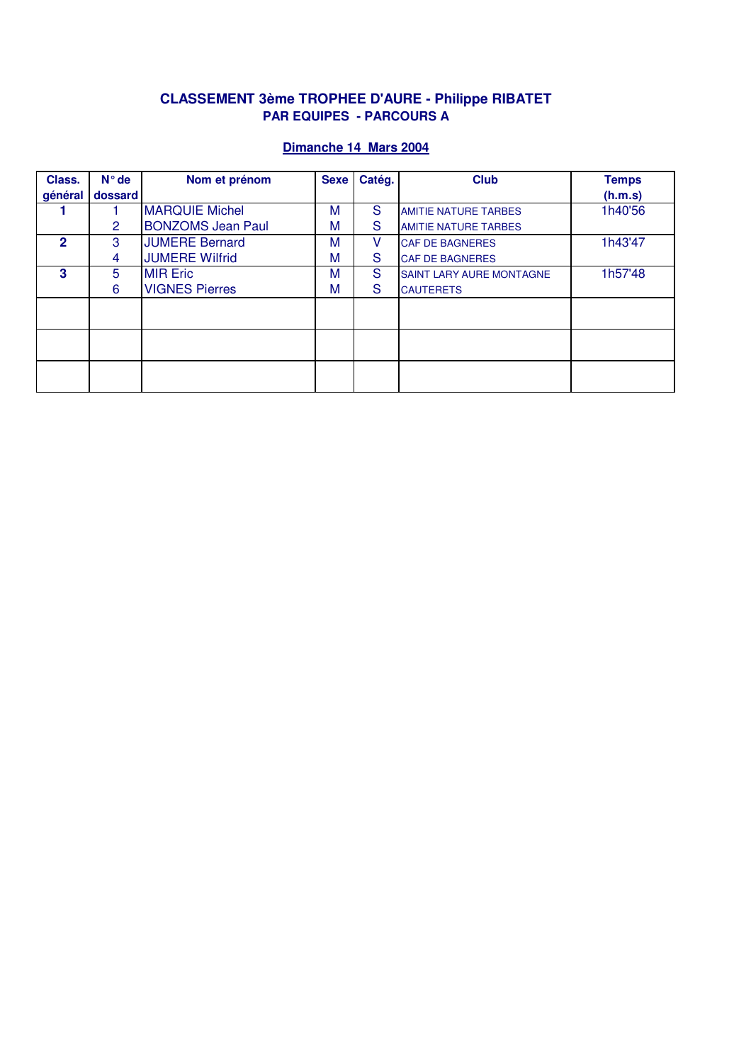# **CLASSEMENT 3ème TROPHEE D'AURE - Philippe RIBATET PAR EQUIPES - PARCOURS A**

| Class.       | $N^{\circ}$ de | Nom et prénom            | <b>Sexe</b> | Catég. | <b>Club</b>                     | <b>Temps</b> |
|--------------|----------------|--------------------------|-------------|--------|---------------------------------|--------------|
| général      | dossard        |                          |             |        |                                 | (h.m.s)      |
|              |                | <b>MARQUIE Michel</b>    | M           | S      | <b>AMITIE NATURE TARBES</b>     | 1h40'56      |
|              | 2              | <b>BONZOMS Jean Paul</b> | M           | S      | <b>AMITIE NATURE TARBES</b>     |              |
| $\mathbf{2}$ | 3              | <b>JUMERE Bernard</b>    | M           | v      | <b>CAF DE BAGNERES</b>          | 1h43'47      |
|              | 4              | <b>JUMERE Wilfrid</b>    | M           | S      | <b>CAF DE BAGNERES</b>          |              |
| 3            | 5              | <b>MIR Eric</b>          | M           | S      | <b>SAINT LARY AURE MONTAGNE</b> | 1h57'48      |
|              | 6              | <b>VIGNES Pierres</b>    | M           | S      | <b>CAUTERETS</b>                |              |
|              |                |                          |             |        |                                 |              |
|              |                |                          |             |        |                                 |              |
|              |                |                          |             |        |                                 |              |
|              |                |                          |             |        |                                 |              |
|              |                |                          |             |        |                                 |              |
|              |                |                          |             |        |                                 |              |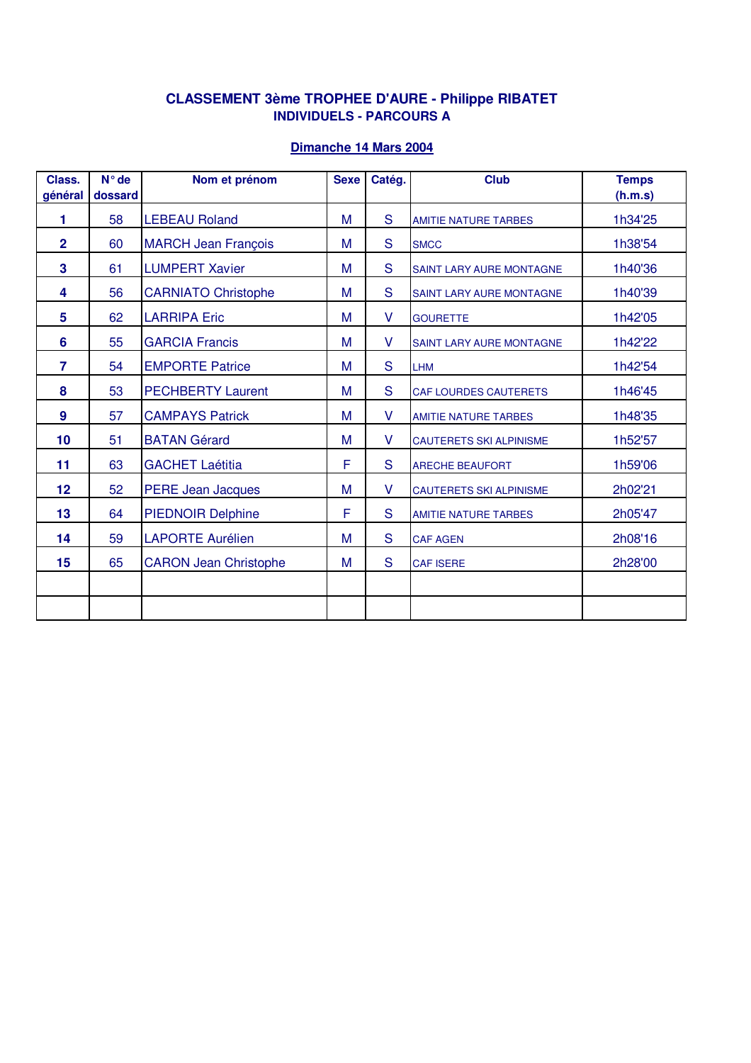## **CLASSEMENT 3ème TROPHEE D'AURE - Philippe RIBATET INDIVIDUELS - PARCOURS A**

| Class.<br>général | $N^{\circ}$ de<br>dossard | Nom et prénom                | <b>Sexe</b> | Catég. | <b>Club</b>                     | <b>Temps</b><br>(h.m.s) |
|-------------------|---------------------------|------------------------------|-------------|--------|---------------------------------|-------------------------|
| 1                 | 58                        | <b>LEBEAU Roland</b>         | M           | S      | <b>AMITIE NATURE TARBES</b>     | 1h34'25                 |
| $\mathbf{2}$      | 60                        | <b>MARCH Jean François</b>   | M           | S      | <b>SMCC</b>                     | 1h38'54                 |
| 3                 | 61                        | <b>LUMPERT Xavier</b>        | M           | S      | <b>SAINT LARY AURE MONTAGNE</b> | 1h40'36                 |
| 4                 | 56                        | <b>CARNIATO Christophe</b>   | M           | S      | <b>SAINT LARY AURE MONTAGNE</b> | 1h40'39                 |
| 5                 | 62                        | <b>LARRIPA Eric</b>          | M           | V      | <b>GOURETTE</b>                 | 1h42'05                 |
| 6                 | 55                        | <b>GARCIA Francis</b>        | M           | V      | <b>SAINT LARY AURE MONTAGNE</b> | 1h42'22                 |
| $\overline{7}$    | 54                        | <b>EMPORTE Patrice</b>       | M           | S      | <b>LHM</b>                      | 1h42'54                 |
| 8                 | 53                        | <b>PECHBERTY Laurent</b>     | M           | S      | <b>CAF LOURDES CAUTERETS</b>    | 1h46'45                 |
| 9                 | 57                        | <b>CAMPAYS Patrick</b>       | M           | V      | <b>AMITIE NATURE TARBES</b>     | 1h48'35                 |
| 10                | 51                        | <b>BATAN Gérard</b>          | M           | V      | <b>CAUTERETS SKI ALPINISME</b>  | 1h52'57                 |
| 11                | 63                        | <b>GACHET Laétitia</b>       | F           | S      | <b>ARECHE BEAUFORT</b>          | 1h59'06                 |
| 12                | 52                        | <b>PERE Jean Jacques</b>     | M           | V      | <b>CAUTERETS SKI ALPINISME</b>  | 2h02'21                 |
| 13                | 64                        | <b>PIEDNOIR Delphine</b>     | F           | S      | <b>AMITIE NATURE TARBES</b>     | 2h05'47                 |
| 14                | 59                        | <b>LAPORTE Aurélien</b>      | M           | S      | <b>CAF AGEN</b>                 | 2h08'16                 |
| 15                | 65                        | <b>CARON Jean Christophe</b> | M           | S      | <b>CAF ISERE</b>                | 2h28'00                 |
|                   |                           |                              |             |        |                                 |                         |
|                   |                           |                              |             |        |                                 |                         |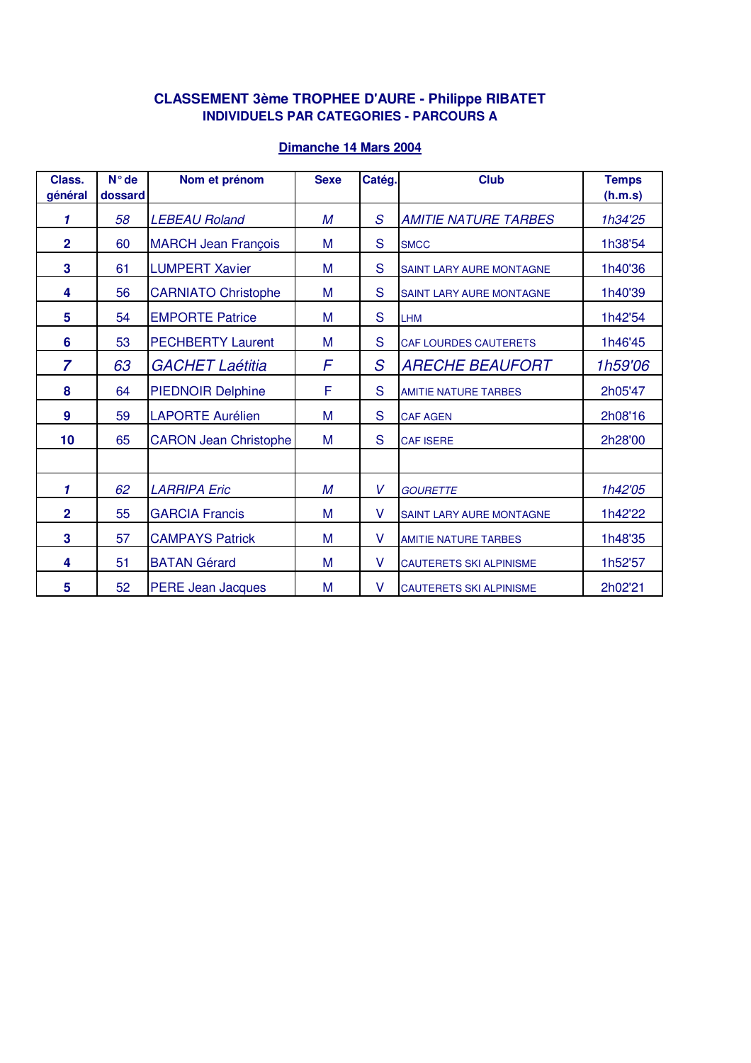### **CLASSEMENT 3ème TROPHEE D'AURE - Philippe RIBATET INDIVIDUELS PAR CATEGORIES - PARCOURS A**

| Class.<br>général | $N^{\circ}$ de<br>dossard | Nom et prénom                | <b>Sexe</b> | Catég.        | <b>Club</b>                     | <b>Temps</b><br>(h.m.s) |
|-------------------|---------------------------|------------------------------|-------------|---------------|---------------------------------|-------------------------|
|                   |                           |                              |             |               |                                 |                         |
| 1                 | 58                        | <b>LEBEAU Roland</b>         | M           | S             | <b>AMITIE NATURE TARBES</b>     | 1h34'25                 |
| $\overline{2}$    | 60                        | <b>MARCH Jean François</b>   | M           | S             | <b>SMCC</b>                     | 1h38'54                 |
| 3                 | 61                        | <b>LUMPERT Xavier</b>        | M           | S             | <b>SAINT LARY AURE MONTAGNE</b> | 1h40'36                 |
| 4                 | 56                        | <b>CARNIATO Christophe</b>   | M           | S             | <b>SAINT LARY AURE MONTAGNE</b> | 1h40'39                 |
| 5                 | 54                        | <b>EMPORTE Patrice</b>       | M           | S             | <b>LHM</b>                      | 1h42'54                 |
| 6                 | 53                        | <b>PECHBERTY Laurent</b>     | M           | S             | <b>CAF LOURDES CAUTERETS</b>    | 1h46'45                 |
| $\overline{7}$    | 63                        | <b>GACHET Laétitia</b>       | F           | $\mathcal{S}$ | <b>ARECHE BEAUFORT</b>          | 1h59'06                 |
| 8                 | 64                        | <b>PIEDNOIR Delphine</b>     | F           | S             | <b>AMITIE NATURE TARBES</b>     | 2h05'47                 |
| $\boldsymbol{9}$  | 59                        | <b>LAPORTE Aurélien</b>      | M           | S             | <b>CAF AGEN</b>                 | 2h08'16                 |
| 10                | 65                        | <b>CARON Jean Christophe</b> | M           | S             | <b>CAF ISERE</b>                | 2h28'00                 |
|                   |                           |                              |             |               |                                 |                         |
| 1                 | 62                        | <b>LARRIPA Eric</b>          | M           | V             | <b>GOURETTE</b>                 | 1h42'05                 |
| $\overline{2}$    | 55                        | <b>GARCIA Francis</b>        | M           | V             | <b>SAINT LARY AURE MONTAGNE</b> | 1h42'22                 |
| 3                 | 57                        | <b>CAMPAYS Patrick</b>       | M           | V             | <b>AMITIE NATURE TARBES</b>     | 1h48'35                 |
| 4                 | 51                        | <b>BATAN Gérard</b>          | M           | V             | <b>CAUTERETS SKI ALPINISME</b>  | 1h52'57                 |
| 5                 | 52                        | <b>PERE Jean Jacques</b>     | M           | V             | <b>CAUTERETS SKI ALPINISME</b>  | 2h02'21                 |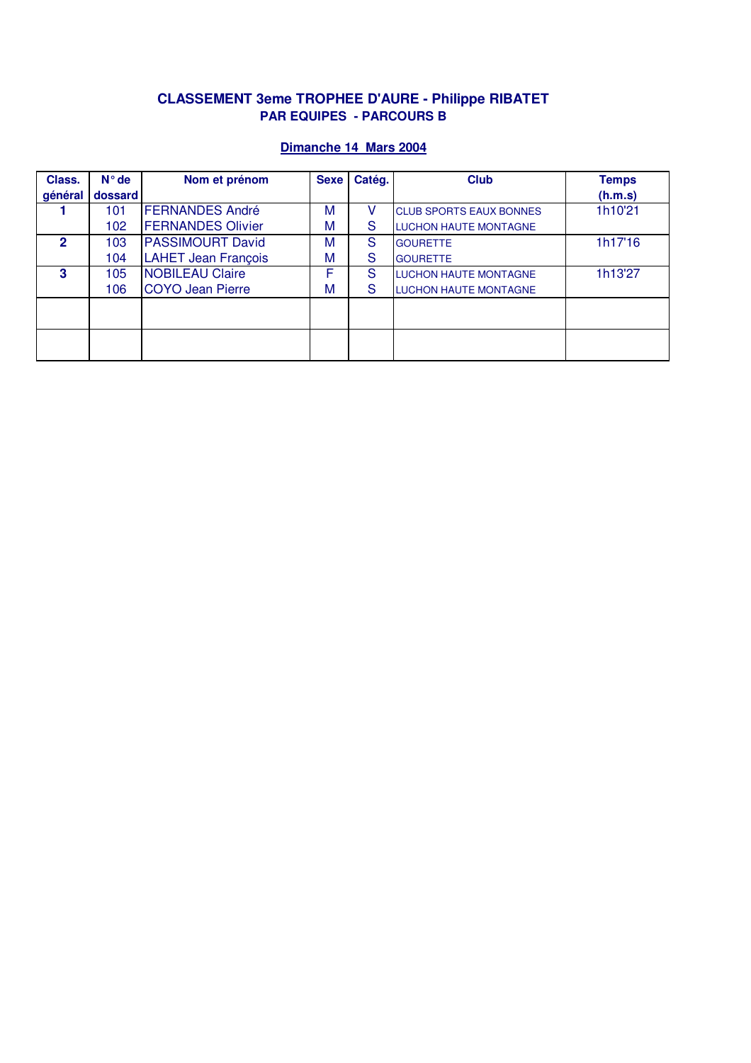## **CLASSEMENT 3eme TROPHEE D'AURE - Philippe RIBATET PAR EQUIPES - PARCOURS B**

| Class.  | $N^{\circ}$ de | Nom et prénom              | <b>Sexe</b> | Catég. | <b>Club</b>                    | <b>Temps</b> |
|---------|----------------|----------------------------|-------------|--------|--------------------------------|--------------|
| général | dossard        |                            |             |        |                                | (h.m.s)      |
|         | 101            | <b>FERNANDES André</b>     | M           |        | <b>CLUB SPORTS EAUX BONNES</b> | 1h10'21      |
|         | 102            | <b>FERNANDES Olivier</b>   | M           | S      | <b>LUCHON HAUTE MONTAGNE</b>   |              |
| 2       | 103            | <b>PASSIMOURT David</b>    | M           | S      | <b>GOURETTE</b>                | 1h17'16      |
|         | 104            | <b>LAHET Jean François</b> | M           | S      | <b>GOURETTE</b>                |              |
| 3       | 105            | <b>NOBILEAU Claire</b>     | F           | S      | <b>LUCHON HAUTE MONTAGNE</b>   | 1h13'27      |
|         | 106            | <b>COYO Jean Pierre</b>    | M           | S      | <b>LUCHON HAUTE MONTAGNE</b>   |              |
|         |                |                            |             |        |                                |              |
|         |                |                            |             |        |                                |              |
|         |                |                            |             |        |                                |              |
|         |                |                            |             |        |                                |              |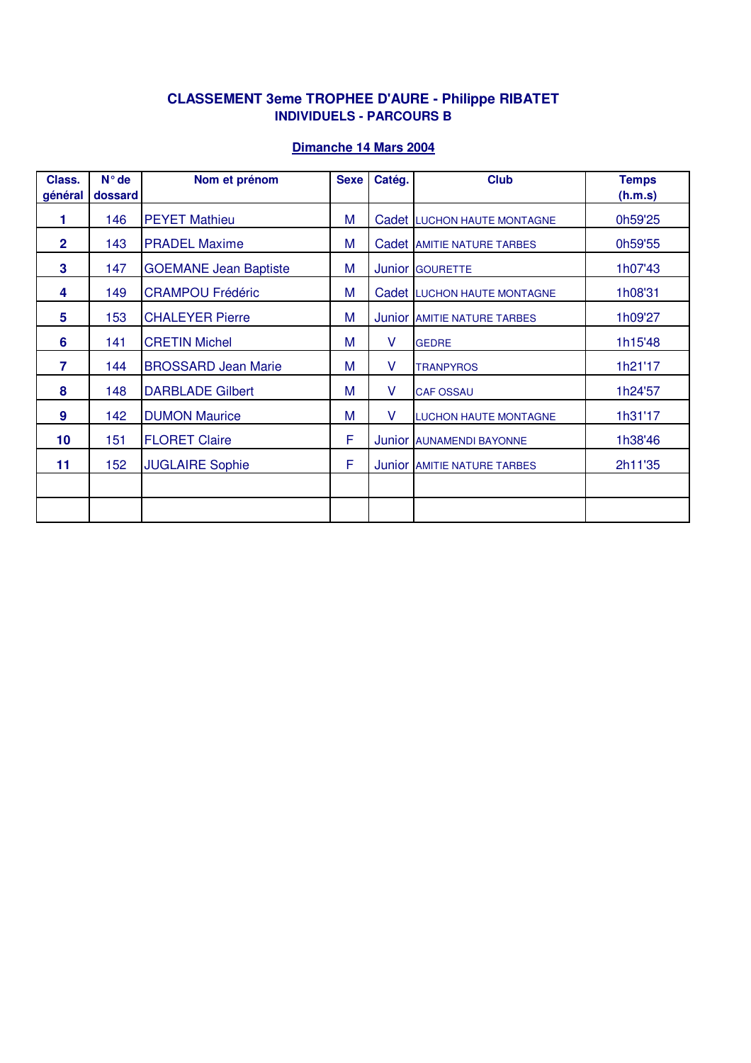## **CLASSEMENT 3eme TROPHEE D'AURE - Philippe RIBATET INDIVIDUELS - PARCOURS B**

| Class.<br>général | $N^{\circ}$ de<br>dossard | Nom et prénom                | <b>Sexe</b> | Catég. | <b>Club</b>                        | <b>Temps</b><br>(h.m.s) |
|-------------------|---------------------------|------------------------------|-------------|--------|------------------------------------|-------------------------|
|                   |                           |                              |             |        |                                    |                         |
| 1                 | 146                       | <b>PEYET Mathieu</b>         | М           |        | Cadet LUCHON HAUTE MONTAGNE        | 0h59'25                 |
| $\overline{2}$    | 143                       | <b>PRADEL Maxime</b>         | М           |        | Cadet AMITIE NATURE TARBES         | 0h59'55                 |
| 3                 | 147                       | <b>GOEMANE Jean Baptiste</b> | M           |        | Junior GOURETTE                    | 1h07'43                 |
| 4                 | 149                       | <b>CRAMPOU Frédéric</b>      | M           |        | Cadet LUCHON HAUTE MONTAGNE        | 1h08'31                 |
| 5                 | 153                       | <b>CHALEYER Pierre</b>       | М           |        | Junior AMITIE NATURE TARBES        | 1h09'27                 |
| 6                 | 141                       | <b>CRETIN Michel</b>         | M           | V      | <b>GEDRE</b>                       | 1h15'48                 |
| 7                 | 144                       | <b>BROSSARD Jean Marie</b>   | М           | V      | <b>TRANPYROS</b>                   | 1h21'17                 |
| 8                 | 148                       | <b>DARBLADE Gilbert</b>      | М           | V      | <b>CAF OSSAU</b>                   | 1h24'57                 |
| 9                 | 142                       | <b>DUMON Maurice</b>         | M           | V      | <b>LUCHON HAUTE MONTAGNE</b>       | 1h31'17                 |
| 10                | 151                       | <b>FLORET Claire</b>         | F           |        | Junior AUNAMENDI BAYONNE           | 1h38'46                 |
| 11                | 152                       | <b>JUGLAIRE Sophie</b>       | F           |        | <b>Junior AMITIE NATURE TARBES</b> | 2h11'35                 |
|                   |                           |                              |             |        |                                    |                         |
|                   |                           |                              |             |        |                                    |                         |